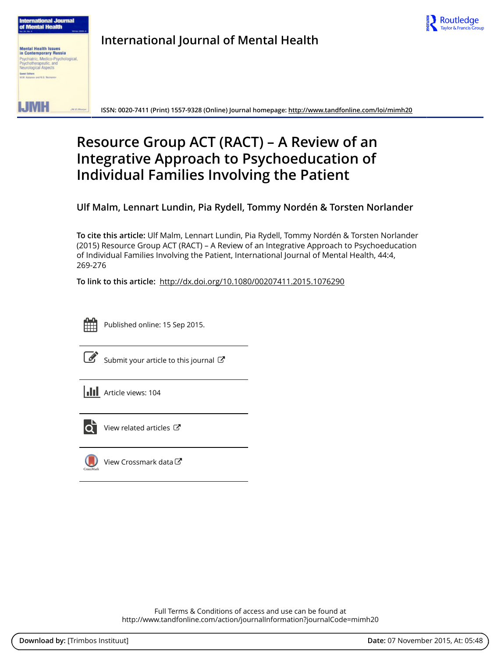

| of Mental Health<br>of the No. 4                                                                                                                                                                       |         |
|--------------------------------------------------------------------------------------------------------------------------------------------------------------------------------------------------------|---------|
| <b>Mental Health Issues</b><br>in Contemporary Russia<br>Psychiatric, Medico-Psychological,<br>Psychotherapeutic, and<br>Neurological Aspects<br><b>David Fillmore</b><br><b>M.M. Kubanov and fill</b> |         |
|                                                                                                                                                                                                        | Alberta |

**International Journal of Mental Health**

**ISSN: 0020-7411 (Print) 1557-9328 (Online) Journal homepage:<http://www.tandfonline.com/loi/mimh20>**

# **Resource Group ACT (RACT) – A Review of an Integrative Approach to Psychoeducation of Individual Families Involving the Patient**

**Ulf Malm, Lennart Lundin, Pia Rydell, Tommy Nordén & Torsten Norlander**

**To cite this article:** Ulf Malm, Lennart Lundin, Pia Rydell, Tommy Nordén & Torsten Norlander (2015) Resource Group ACT (RACT) – A Review of an Integrative Approach to Psychoeducation of Individual Families Involving the Patient, International Journal of Mental Health, 44:4, 269-276

**To link to this article:** <http://dx.doi.org/10.1080/00207411.2015.1076290>



Published online: 15 Sep 2015.

|--|

[Submit your article to this journal](http://www.tandfonline.com/action/authorSubmission?journalCode=mimh20&page=instructions)  $\mathbb{Z}$ 

**III** Article views: 104



 $\overrightarrow{O}$  [View related articles](http://www.tandfonline.com/doi/mlt/10.1080/00207411.2015.1076290)  $\overrightarrow{C}$ 



[View Crossmark data](http://crossmark.crossref.org/dialog/?doi=10.1080/00207411.2015.1076290&domain=pdf&date_stamp=2015-09-15)<sup>で</sup>

Full Terms & Conditions of access and use can be found at <http://www.tandfonline.com/action/journalInformation?journalCode=mimh20>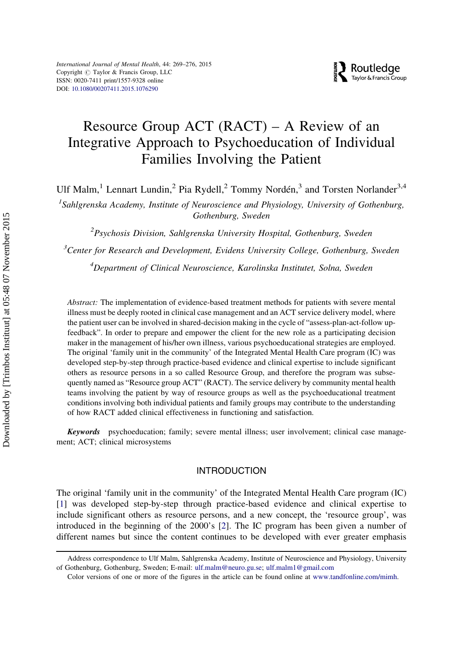# Resource Group ACT (RACT) – A Review of an Integrative Approach to Psychoeducation of Individual Families Involving the Patient

Ulf Malm,<sup>1</sup> Lennart Lundin,<sup>2</sup> Pia Rydell,<sup>2</sup> Tommy Nordén,<sup>3</sup> and Torsten Norlander<sup>3,4</sup>

 ${}^{1}$ Sahlgrenska Academy, Institute of Neuroscience and Physiology, University of Gothenburg, Gothenburg, Sweden

 $2$ Psychosis Division, Sahlgrenska University Hospital, Gothenburg, Sweden

 $3$ Center for Research and Development, Evidens University College, Gothenburg, Sweden

<sup>4</sup>Department of Clinical Neuroscience, Karolinska Institutet, Solna, Sweden

Abstract: The implementation of evidence-based treatment methods for patients with severe mental illness must be deeply rooted in clinical case management and an ACT service delivery model, where the patient user can be involved in shared-decision making in the cycle of "assess-plan-act-follow upfeedback". In order to prepare and empower the client for the new role as a participating decision maker in the management of his/her own illness, various psychoeducational strategies are employed. The original 'family unit in the community' of the Integrated Mental Health Care program (IC) was developed step-by-step through practice-based evidence and clinical expertise to include significant others as resource persons in a so called Resource Group, and therefore the program was subsequently named as "Resource group ACT" (RACT). The service delivery by community mental health teams involving the patient by way of resource groups as well as the psychoeducational treatment conditions involving both individual patients and family groups may contribute to the understanding of how RACT added clinical effectiveness in functioning and satisfaction.

Keywords psychoeducation; family; severe mental illness; user involvement; clinical case management; ACT; clinical microsystems

# INTRODUCTION

The original 'family unit in the community' of the Integrated Mental Health Care program (IC) [\[1](#page-7-0)] was developed step-by-step through practice-based evidence and clinical expertise to include significant others as resource persons, and a new concept, the 'resource group', was introduced in the beginning of the 2000's [\[2](#page-7-0)]. The IC program has been given a number of different names but since the content continues to be developed with ever greater emphasis

Address correspondence to Ulf Malm, Sahlgrenska Academy, Institute of Neuroscience and Physiology, University of Gothenburg, Gothenburg, Sweden; E-mail: [ulf.malm@neuro.gu.se](mailto:ulf.malm@neuro.gu.se); [ulf.malm1@gmail.com](mailto:ulf.malm1@gmail.com)

Color versions of one or more of the figures in the article can be found online at [www.tandfonline.com/mimh](http://www.tandfonline.com/mimh).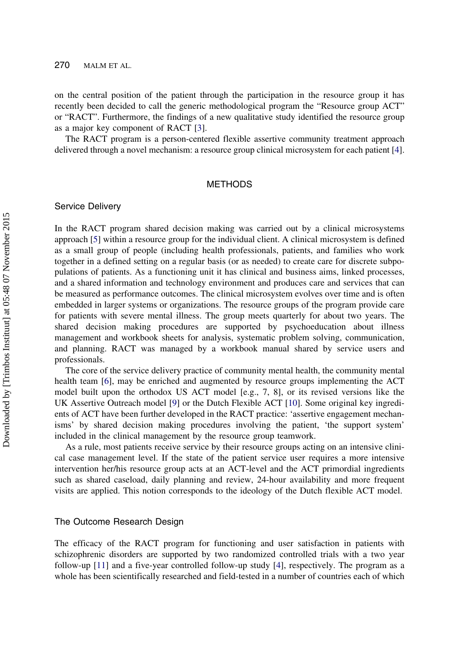on the central position of the patient through the participation in the resource group it has recently been decided to call the generic methodological program the "Resource group ACT" or "RACT". Furthermore, the findings of a new qualitative study identified the resource group as a major key component of RACT [[3\]](#page-7-0).

The RACT program is a person-centered flexible assertive community treatment approach delivered through a novel mechanism: a resource group clinical microsystem for each patient [[4](#page-7-0)].

## METHODS

### Service Delivery

In the RACT program shared decision making was carried out by a clinical microsystems approach [[5\]](#page-7-0) within a resource group for the individual client. A clinical microsystem is defined as a small group of people (including health professionals, patients, and families who work together in a defined setting on a regular basis (or as needed) to create care for discrete subpopulations of patients. As a functioning unit it has clinical and business aims, linked processes, and a shared information and technology environment and produces care and services that can be measured as performance outcomes. The clinical microsystem evolves over time and is often embedded in larger systems or organizations. The resource groups of the program provide care for patients with severe mental illness. The group meets quarterly for about two years. The shared decision making procedures are supported by psychoeducation about illness management and workbook sheets for analysis, systematic problem solving, communication, and planning. RACT was managed by a workbook manual shared by service users and professionals.

The core of the service delivery practice of community mental health, the community mental health team [\[6](#page-7-0)], may be enriched and augmented by resource groups implementing the ACT model built upon the orthodox US ACT model [e.g., 7, 8], or its revised versions like the UK Assertive Outreach model [\[9](#page-7-0)] or the Dutch Flexible ACT [\[10\]](#page-7-0). Some original key ingredients of ACT have been further developed in the RACT practice: 'assertive engagement mechanisms' by shared decision making procedures involving the patient, 'the support system' included in the clinical management by the resource group teamwork.

As a rule, most patients receive service by their resource groups acting on an intensive clinical case management level. If the state of the patient service user requires a more intensive intervention her/his resource group acts at an ACT-level and the ACT primordial ingredients such as shared caseload, daily planning and review, 24-hour availability and more frequent visits are applied. This notion corresponds to the ideology of the Dutch flexible ACT model.

#### The Outcome Research Design

The efficacy of the RACT program for functioning and user satisfaction in patients with schizophrenic disorders are supported by two randomized controlled trials with a two year follow-up [[11\]](#page-7-0) and a five-year controlled follow-up study [[4\]](#page-7-0), respectively. The program as a whole has been scientifically researched and field-tested in a number of countries each of which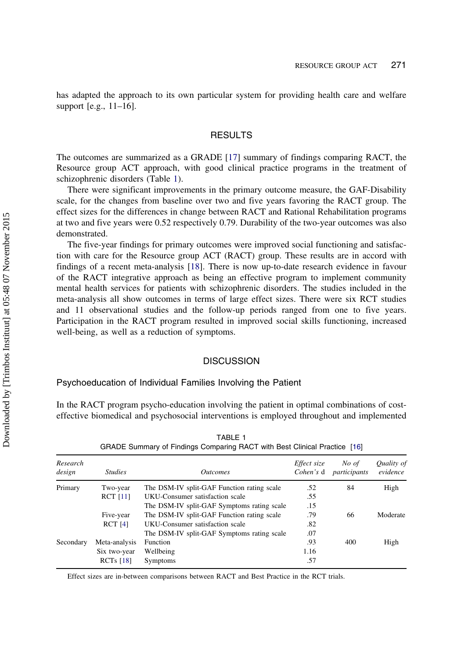<span id="page-3-0"></span>has adapted the approach to its own particular system for providing health care and welfare support [e.g., 11–16].

# **RESULTS**

The outcomes are summarized as a GRADE [[17\]](#page-8-0) summary of findings comparing RACT, the Resource group ACT approach, with good clinical practice programs in the treatment of schizophrenic disorders (Table 1).

There were significant improvements in the primary outcome measure, the GAF-Disability scale, for the changes from baseline over two and five years favoring the RACT group. The effect sizes for the differences in change between RACT and Rational Rehabilitation programs at two and five years were 0.52 respectively 0.79. Durability of the two-year outcomes was also demonstrated.

The five-year findings for primary outcomes were improved social functioning and satisfaction with care for the Resource group ACT (RACT) group. These results are in accord with findings of a recent meta-analysis [\[18](#page-8-0)]. There is now up-to-date research evidence in favour of the RACT integrative approach as being an effective program to implement community mental health services for patients with schizophrenic disorders. The studies included in the meta-analysis all show outcomes in terms of large effect sizes. There were six RCT studies and 11 observational studies and the follow-up periods ranged from one to five years. Participation in the RACT program resulted in improved social skills functioning, increased well-being, as well as a reduction of symptoms.

#### **DISCUSSION**

#### Psychoeducation of Individual Families Involving the Patient

In the RACT program psycho-education involving the patient in optimal combinations of costeffective biomedical and psychosocial interventions is employed throughout and implemented

| Research<br>design | <b>Studies</b>          | <i><u><b>Outcomes</b></u></i>              | Effect size<br>Cohen's d | No of<br>participants | Quality of<br>evidence |
|--------------------|-------------------------|--------------------------------------------|--------------------------|-----------------------|------------------------|
| Primary            | Two-year                | The DSM-IV split-GAF Function rating scale | .52                      | 84                    | High                   |
|                    | <b>RCT</b> [11]         | UKU-Consumer satisfaction scale            | .55                      |                       |                        |
|                    |                         | The DSM-IV split-GAF Symptoms rating scale | .15                      |                       |                        |
|                    | Five-year               | The DSM-IV split-GAF Function rating scale | .79                      | 66                    | Moderate               |
|                    | RCT[4]                  | UKU-Consumer satisfaction scale            | .82                      |                       |                        |
|                    |                         | The DSM-IV split-GAF Symptoms rating scale | .07                      |                       |                        |
| Secondary          | Meta-analysis           | Function                                   | .93                      | 400                   | High                   |
|                    | Six two-year            | Wellbeing                                  | 1.16                     |                       |                        |
|                    | RCT <sub>s</sub> $[18]$ | Symptoms                                   | .57                      |                       |                        |

TABLE 1 GRADE Summary of Findings Comparing RACT with Best Clinical Practice [\[16](#page-7-0)]

Effect sizes are in-between comparisons between RACT and Best Practice in the RCT trials.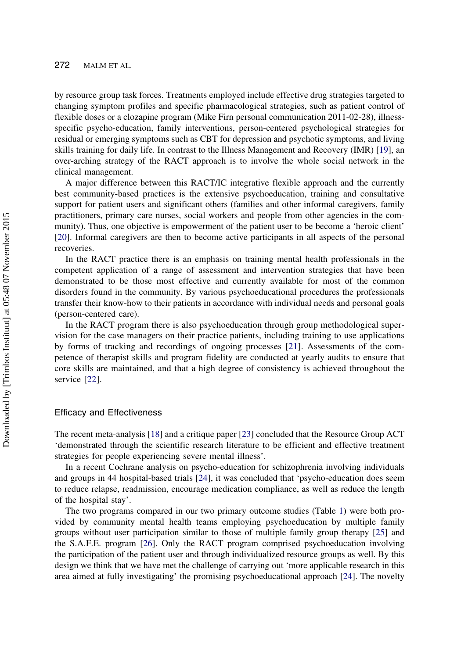by resource group task forces. Treatments employed include effective drug strategies targeted to changing symptom profiles and specific pharmacological strategies, such as patient control of flexible doses or a clozapine program (Mike Firn personal communication 2011-02-28), illnessspecific psycho-education, family interventions, person-centered psychological strategies for residual or emerging symptoms such as CBT for depression and psychotic symptoms, and living skills training for daily life. In contrast to the Illness Management and Recovery (IMR) [\[19](#page-8-0)], an over-arching strategy of the RACT approach is to involve the whole social network in the clinical management.

A major difference between this RACT/IC integrative flexible approach and the currently best community-based practices is the extensive psychoeducation, training and consultative support for patient users and significant others (families and other informal caregivers, family practitioners, primary care nurses, social workers and people from other agencies in the community). Thus, one objective is empowerment of the patient user to be become a 'heroic client' [\[20\]](#page-8-0). Informal caregivers are then to become active participants in all aspects of the personal recoveries.

In the RACT practice there is an emphasis on training mental health professionals in the competent application of a range of assessment and intervention strategies that have been demonstrated to be those most effective and currently available for most of the common disorders found in the community. By various psychoeducational procedures the professionals transfer their know-how to their patients in accordance with individual needs and personal goals (person-centered care).

In the RACT program there is also psychoeducation through group methodological supervision for the case managers on their practice patients, including training to use applications by forms of tracking and recordings of ongoing processes [\[21\]](#page-8-0). Assessments of the competence of therapist skills and program fidelity are conducted at yearly audits to ensure that core skills are maintained, and that a high degree of consistency is achieved throughout the service [\[22\]](#page-8-0).

#### Efficacy and Effectiveness

The recent meta-analysis [[18\]](#page-8-0) and a critique paper [\[23](#page-8-0)] concluded that the Resource Group ACT 'demonstrated through the scientific research literature to be efficient and effective treatment strategies for people experiencing severe mental illness'.

In a recent Cochrane analysis on psycho-education for schizophrenia involving individuals and groups in 44 hospital-based trials [\[24](#page-8-0)], it was concluded that 'psycho-education does seem to reduce relapse, readmission, encourage medication compliance, as well as reduce the length of the hospital stay'.

The two programs compared in our two primary outcome studies (Table [1](#page-3-0)) were both provided by community mental health teams employing psychoeducation by multiple family groups without user participation similar to those of multiple family group therapy [[25\]](#page-8-0) and the S.A.F.E. program [\[26](#page-8-0)]. Only the RACT program comprised psychoeducation involving the participation of the patient user and through individualized resource groups as well. By this design we think that we have met the challenge of carrying out 'more applicable research in this area aimed at fully investigating' the promising psychoeducational approach [\[24](#page-8-0)]. The novelty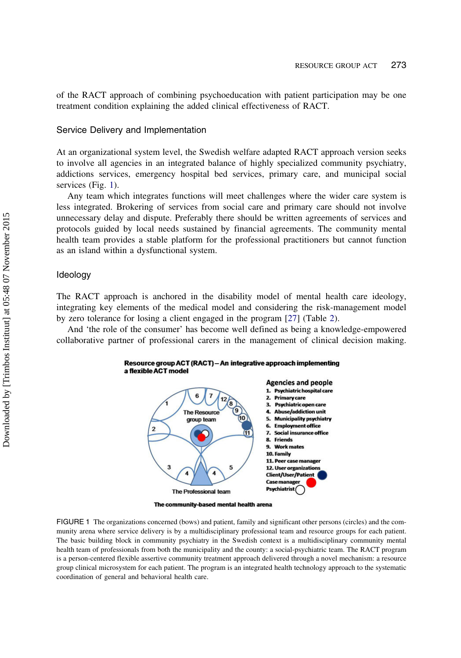of the RACT approach of combining psychoeducation with patient participation may be one treatment condition explaining the added clinical effectiveness of RACT.

#### Service Delivery and Implementation

At an organizational system level, the Swedish welfare adapted RACT approach version seeks to involve all agencies in an integrated balance of highly specialized community psychiatry, addictions services, emergency hospital bed services, primary care, and municipal social services (Fig. 1).

Any team which integrates functions will meet challenges where the wider care system is less integrated. Brokering of services from social care and primary care should not involve unnecessary delay and dispute. Preferably there should be written agreements of services and protocols guided by local needs sustained by financial agreements. The community mental health team provides a stable platform for the professional practitioners but cannot function as an island within a dysfunctional system.

#### Ideology

The RACT approach is anchored in the disability model of mental health care ideology, integrating key elements of the medical model and considering the risk-management model by zero tolerance for losing a client engaged in the program [[27\]](#page-8-0) (Table [2\)](#page-6-0).

And 'the role of the consumer' has become well defined as being a knowledge-empowered collaborative partner of professional carers in the management of clinical decision making.



The community-based mental health arena

FIGURE 1 The organizations concerned (bows) and patient, family and significant other persons (circles) and the community arena where service delivery is by a multidisciplinary professional team and resource groups for each patient. The basic building block in community psychiatry in the Swedish context is a multidisciplinary community mental health team of professionals from both the municipality and the county: a social-psychiatric team. The RACT program is a person-centered flexible assertive community treatment approach delivered through a novel mechanism: a resource group clinical microsystem for each patient. The program is an integrated health technology approach to the systematic coordination of general and behavioral health care.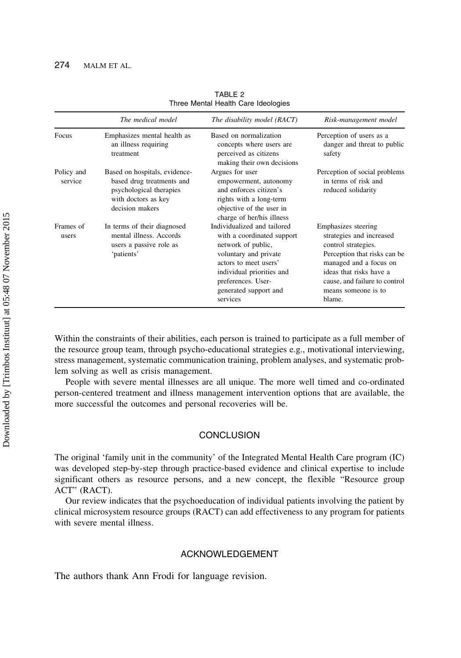<span id="page-6-0"></span>

|                       | The medical model                                                                                                               | The disability model (RACT)                                                                                                                                                                                               | Risk-management model                                                                                                                                                                                                         |
|-----------------------|---------------------------------------------------------------------------------------------------------------------------------|---------------------------------------------------------------------------------------------------------------------------------------------------------------------------------------------------------------------------|-------------------------------------------------------------------------------------------------------------------------------------------------------------------------------------------------------------------------------|
| Focus                 | Emphasizes mental health as<br>an illness requiring<br>treatment                                                                | Based on normalization<br>concepts where users are<br>perceived as citizens<br>making their own decisions                                                                                                                 | Perception of users as a<br>danger and threat to public<br>safety                                                                                                                                                             |
| Policy and<br>service | Based on hospitals, evidence-<br>based drug treatments and<br>psychological therapies<br>with doctors as key<br>decision makers | Argues for user<br>empowerment, autonomy<br>and enforces citizen's<br>rights with a long-term<br>objective of the user in<br>charge of her/his illness                                                                    | Perception of social problems<br>in terms of risk and<br>reduced solidarity                                                                                                                                                   |
| Frames of<br>users    | In terms of their diagnosed<br>mental illness. Accords<br>users a passive role as<br>'patients'                                 | Individualized and tailored<br>with a coordinated support<br>network of public,<br>voluntary and private<br>actors to meet users'<br>individual priorities and<br>preferences. User-<br>generated support and<br>services | Emphasizes steering<br>strategies and increased<br>control strategies.<br>Perception that risks can be<br>managed and a focus on<br>ideas that risks have a<br>cause, and failure to control<br>means someone is to<br>blame. |

TABLE 2 Three Mental Health Care Ideologies

Within the constraints of their abilities, each person is trained to participate as a full member of the resource group team, through psycho-educational strategies e.g., motivational interviewing, stress management, systematic communication training, problem analyses, and systematic problem solving as well as crisis management.

People with severe mental illnesses are all unique. The more well timed and co-ordinated person-centered treatment and illness management intervention options that are available, the more successful the outcomes and personal recoveries will be.

# **CONCLUSION**

The original 'family unit in the community' of the Integrated Mental Health Care program (IC) was developed step-by-step through practice-based evidence and clinical expertise to include significant others as resource persons, and a new concept, the flexible "Resource group ACT" (RACT).

Our review indicates that the psychoeducation of individual patients involving the patient by clinical microsystem resource groups (RACT) can add effectiveness to any program for patients with severe mental illness.

#### ACKNOWLEDGEMENT

The authors thank Ann Frodi for language revision.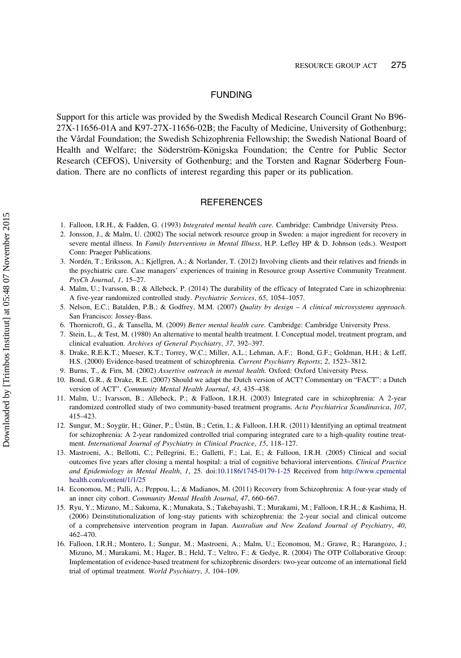# FUNDING

<span id="page-7-0"></span>Support for this article was provided by the Swedish Medical Research Council Grant No B96- 27X-11656-01A and K97-27X-11656-02B; the Faculty of Medicine, University of Gothenburg; the Vårdal Foundation; the Swedish Schizophrenia Fellowship; the Swedish National Board of Health and Welfare; the Söderström-Königska Foundation; the Centre for Public Sector Research (CEFOS), University of Gothenburg; and the Torsten and Ragnar Söderberg Foundation. There are no conflicts of interest regarding this paper or its publication.

# **REFERENCES**

- 1. Falloon, I.R.H., & Fadden, G. (1993) Integrated mental health care. Cambridge: Cambridge University Press.
- 2. Jonsson, J., & Malm, U. (2002) The social network resource group in Sweden: a major ingredient for recovery in severe mental illness. In Family Interventions in Mental Illness, H.P. Lefley HP & D. Johnson (eds.). Westport Conn: Praeger Publications.
- 3. Nordén, T.; Eriksson, A.; Kjellgren, A.; & Norlander, T. (2012) Involving clients and their relatives and friends in the psychiatric care. Case managers' experiences of training in Resource group Assertive Community Treatment. PsyCh Journal, 1, 15–27.
- 4. Malm, U.; Ivarsson, B.; & Allebeck, P. (2014) The durability of the efficacy of Integrated Care in schizophrenia: A five-year randomized controlled study. Psychiatric Services, 65, 1054–1057.
- 5. Nelson, E.C.; Batalden, P.B.; & Godfrey, M.M. (2007) Quality by design A clinical microsystems approach. San Francisco: Jossey-Bass.
- 6. Thornicroft, G., & Tansella, M. (2009) Better mental health care. Cambridge: Cambridge University Press.
- 7. Stein, L., & Test, M. (1980) An alternative to mental health treatment. I. Conceptual model, treatment program, and clinical evaluation. Archives of General Psychiatry, 37, 392–397.
- 8. Drake, R.E.K.T.; Mueser, K.T.; Torrey, W.C.; Miller, A.L.; Lehman, A.F.; Bond, G.F.; Goldman, H.H.; & Leff, H.S. (2000) Evidence-based treatment of schizophrenia. Current Psychiatry Reports; 2, 1523–3812.
- 9. Burns, T., & Firn, M. (2002) Assertive outreach in mental health. Oxford: Oxford University Press.
- 10. Bond, G.R., & Drake, R.E. (2007) Should we adapt the Dutch version of ACT? Commentary on "FACT": a Dutch version of ACT". Community Mental Health Journal, 43, 435–438.
- 11. Malm, U.; Ivarsson, B.; Allebeck, P.; & Falloon, I.R.H. (2003) Integrated care in schizophrenia: A 2-year randomized controlled study of two community-based treatment programs. Acta Psychiatrica Scandinavica, 107, 415–423.
- 12. Sungur, M.; Soygür, H.; Güner, P.; Üstün, B.; Cetin, I.; & Falloon, I.H.R. (2011) Identifying an optimal treatment for schizophrenia: A 2-year randomized controlled trial comparing integrated care to a high-quality routine treatment. International Journal of Psychiatry in Clinical Practice, 15, 118–127.
- 13. Mastroeni, A.; Bellotti, C.; Pellegrini, E.; Galletti, F.; Lai, E.; & Falloon, I.R.H. (2005) Clinical and social outcomes five years after closing a mental hospital: a trial of cognitive behavioral interventions. Clinical Practice and Epidemiology in Mental Health, 1, 25. doi:[10.1186/1745-0179-1-25](http://dx.doi.org/10.1186/1745-0179-1-25) Received from [http://www.cpemental](http://www.cpementalhealth.com/content/1/1/25) [health.com/content/1/1/25](http://www.cpementalhealth.com/content/1/1/25)
- 14. Economou, M.; Palli, A.; Peppou, L.; & Madianos, M. (2011) Recovery from Schizophrenia: A four-year study of an inner city cohort. Community Mental Health Journal, 47, 660–667.
- 15. Ryu, Y.; Mizuno, M.; Sakuma, K.; Munakata, S.; Takebayashi, T.; Murakami, M.; Falloon, I.R.H.; & Kashima, H. (2006) Deinstitutionalization of long-stay patients with schizophrenia: the 2-year social and clinical outcome of a comprehensive intervention program in Japan. Australian and New Zealand Journal of Psychiatry, 40, 462–470.
- 16. Falloon, I.R.H.; Montero, I.; Sungur, M.; Mastroeni, A.; Malm, U.; Economou, M.; Grawe, R.; Harangozo, J.; Mizuno, M.; Murakami, M.; Hager, B.; Held, T.; Veltro, F.; & Gedye, R. (2004) The OTP Collaborative Group: Implementation of evidence-based treatment for schizophrenic disorders: two-year outcome of an international field trial of optimal treatment. World Psychiatry, 3, 104–109.